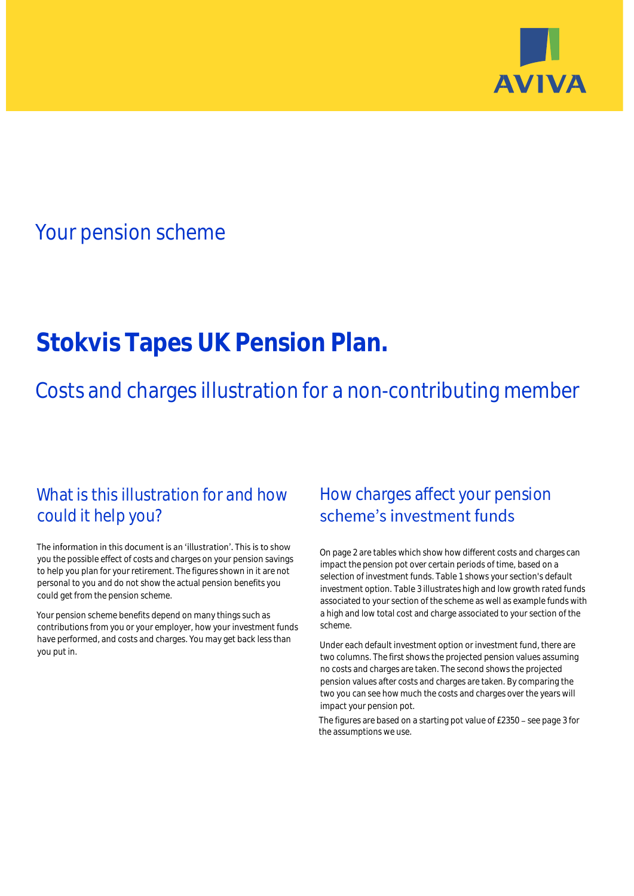

# Your pension scheme

# **Stokvis Tapes UK Pension Plan.**

Costs and charges illustration for a non-contributing member

### What is this illustration for and how could it help you?

#### The information in this document is an 'illustration'. This is to show you the possible effect of costs and charges on your pension savings to help you plan for your retirement. The figures shown in it are not personal to you and do not show the actual pension benefits you could get from the pension scheme.

Your pension scheme benefits depend on many things such as contributions from you or your employer, how your investment funds have performed, and costs and charges. You may get back less than you put in.

## How charges affect your pension scheme's investment funds

On page 2 are tables which show how different costs and charges can impact the pension pot over certain periods of time, based on a selection of investment funds. Table 1 shows your section's default investment option. Table 3 illustrates high and low growth rated funds associated to your section of the scheme as well as example funds with a high and low total cost and charge associated to your section of the scheme.

Under each default investment option or investment fund, there are two columns. The first shows the projected pension values assuming no costs and charges are taken. The second shows the projected pension values after costs and charges are taken. By comparing the two you can see how much the costs and charges over the years will impact your pension pot.

The figures are based on a starting pot value of  $£2350 -$  see page 3 for the assumptions we use.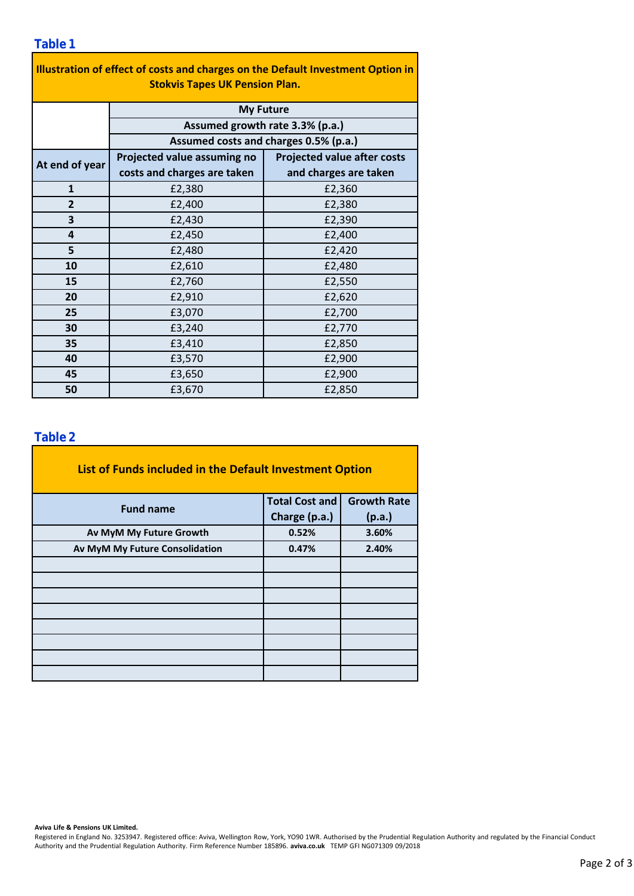### **Table 1**

| Illustration of effect of costs and charges on the Default Investment Option in<br><b>Stokvis Tapes UK Pension Plan.</b> |                                       |                                    |  |  |  |  |  |  |
|--------------------------------------------------------------------------------------------------------------------------|---------------------------------------|------------------------------------|--|--|--|--|--|--|
|                                                                                                                          | <b>My Future</b>                      |                                    |  |  |  |  |  |  |
|                                                                                                                          | Assumed growth rate 3.3% (p.a.)       |                                    |  |  |  |  |  |  |
|                                                                                                                          | Assumed costs and charges 0.5% (p.a.) |                                    |  |  |  |  |  |  |
| At end of year                                                                                                           | Projected value assuming no           | <b>Projected value after costs</b> |  |  |  |  |  |  |
|                                                                                                                          | costs and charges are taken           | and charges are taken              |  |  |  |  |  |  |
| $\mathbf{1}$                                                                                                             | £2,380                                | £2,360                             |  |  |  |  |  |  |
| $\overline{2}$                                                                                                           | £2,400                                | £2,380                             |  |  |  |  |  |  |
| 3                                                                                                                        | £2,430                                | £2,390                             |  |  |  |  |  |  |
| 4                                                                                                                        | £2,450                                | £2,400                             |  |  |  |  |  |  |
| 5                                                                                                                        | £2,480                                | £2,420                             |  |  |  |  |  |  |
| 10                                                                                                                       | £2,610                                | £2,480                             |  |  |  |  |  |  |
| 15                                                                                                                       | £2,760                                | £2,550                             |  |  |  |  |  |  |
| 20                                                                                                                       | £2,910                                | £2,620                             |  |  |  |  |  |  |
| 25                                                                                                                       | £3,070                                | £2,700                             |  |  |  |  |  |  |
| 30                                                                                                                       | £3,240                                | £2,770                             |  |  |  |  |  |  |
| 35                                                                                                                       | £3,410                                | £2,850                             |  |  |  |  |  |  |
| 40                                                                                                                       | £3,570                                | £2,900                             |  |  |  |  |  |  |
| 45                                                                                                                       | £3,650                                | £2,900                             |  |  |  |  |  |  |
| 50                                                                                                                       | £3,670                                | £2,850                             |  |  |  |  |  |  |

### **Table 2**

| List of Funds included in the Default Investment Option |                       |                    |  |  |  |  |  |  |
|---------------------------------------------------------|-----------------------|--------------------|--|--|--|--|--|--|
| <b>Fund name</b>                                        | <b>Total Cost and</b> | <b>Growth Rate</b> |  |  |  |  |  |  |
|                                                         | Charge (p.a.)         | (p.a.)             |  |  |  |  |  |  |
| Av MyM My Future Growth                                 | 0.52%                 | 3.60%              |  |  |  |  |  |  |
| Av MyM My Future Consolidation                          | 0.47%                 | 2.40%              |  |  |  |  |  |  |
|                                                         |                       |                    |  |  |  |  |  |  |
|                                                         |                       |                    |  |  |  |  |  |  |
|                                                         |                       |                    |  |  |  |  |  |  |
|                                                         |                       |                    |  |  |  |  |  |  |
|                                                         |                       |                    |  |  |  |  |  |  |
|                                                         |                       |                    |  |  |  |  |  |  |
|                                                         |                       |                    |  |  |  |  |  |  |
|                                                         |                       |                    |  |  |  |  |  |  |

**Aviva Life & Pensions UK Limited.**

Registered in England No. 3253947. Registered office: Aviva, Wellington Row, York, YO90 1WR. Authorised by the Prudential Regulation Authority and regulated by the Financial Conduct Authority and the Prudential Regulation Authority. Firm Reference Number 185896. **aviva.co.uk** TEMP GFI NG071309 09/2018